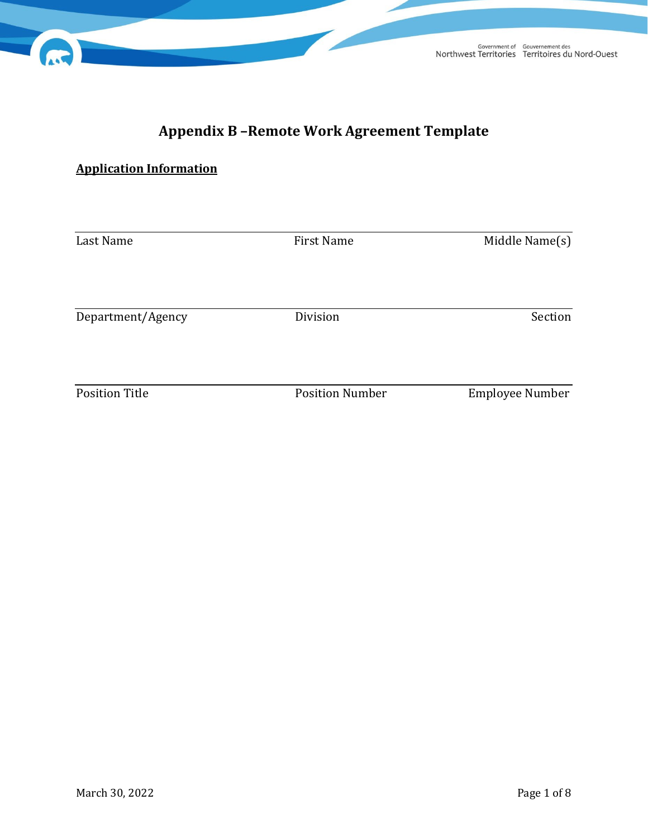# **Appendix B –Remote Work Agreement Template**

# **Application Information**

| Last Name             | <b>First Name</b>      | Middle Name(s)         |  |
|-----------------------|------------------------|------------------------|--|
|                       |                        |                        |  |
|                       |                        |                        |  |
| Department/Agency     | Division               | Section                |  |
|                       |                        |                        |  |
| <b>Position Title</b> | <b>Position Number</b> | <b>Employee Number</b> |  |
|                       |                        |                        |  |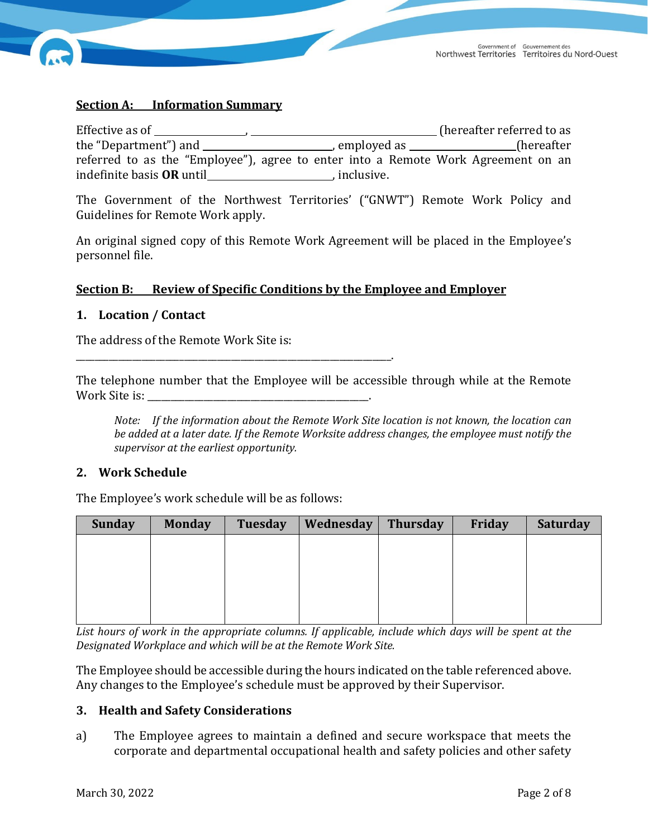

## **Section A: Information Summary**

Effective as of , (hereafter referred to as the  $\mu$  employed as  $\mu$ referred to as the "Employee"), agree to enter into a Remote Work Agreement on an indefinite basis **OR** until , inclusive.

The Government of the Northwest Territories' ("GNWT") Remote Work Policy and Guidelines for Remote Work apply.

An original signed copy of this Remote Work Agreement will be placed in the Employee's personnel file.

#### **Section B: Review of Specific Conditions by the Employee and Employer**

## **1. Location / Contact**

The address of the Remote Work Site is:

\_\_\_\_\_\_\_\_\_\_\_\_\_\_\_\_\_\_\_\_\_\_\_\_\_\_\_\_\_\_\_\_\_\_\_\_\_\_\_\_\_\_\_\_\_\_\_\_\_\_\_\_\_\_\_\_\_\_\_\_\_\_\_\_\_\_\_.

The telephone number that the Employee will be accessible through while at the Remote Work Site is: \_\_\_\_\_\_\_\_\_\_\_\_\_\_\_\_\_\_\_\_\_\_\_\_\_\_\_\_\_\_\_\_\_\_\_\_\_\_\_\_\_\_\_\_\_\_\_.

*Note: If the information about the Remote Work Site location is not known, the location can be added at a later date. If the Remote Worksite address changes, the employee must notify the supervisor at the earliest opportunity.* 

#### **2. Work Schedule**

The Employee's work schedule will be as follows:

| <b>Sunday</b> | <b>Monday</b> | <b>Tuesday</b> | Wednesday | <b>Thursday</b> | <b>Friday</b> | Saturday |
|---------------|---------------|----------------|-----------|-----------------|---------------|----------|
|               |               |                |           |                 |               |          |
|               |               |                |           |                 |               |          |
|               |               |                |           |                 |               |          |
|               |               |                |           |                 |               |          |
|               |               |                |           |                 |               |          |

*List hours of work in the appropriate columns. If applicable, include which days will be spent at the Designated Workplace and which will be at the Remote Work Site.*

The Employee should be accessible during the hours indicated on the table referenced above. Any changes to the Employee's schedule must be approved by their Supervisor.

#### **3. Health and Safety Considerations**

a) The Employee agrees to maintain a defined and secure workspace that meets the corporate and departmental occupational health and safety policies and other safety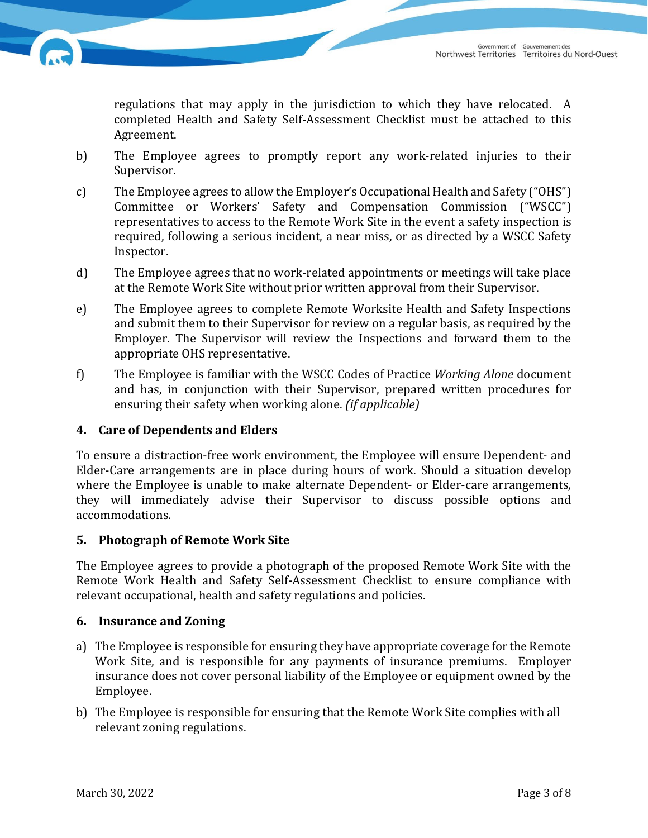

regulations that may apply in the jurisdiction to which they have relocated. A completed Health and Safety Self-Assessment Checklist must be attached to this Agreement.

- b) The Employee agrees to promptly report any work-related injuries to their Supervisor.
- c) The Employee agrees to allow the Employer's Occupational Health and Safety ("OHS") Committee or Workers' Safety and Compensation Commission ("WSCC") representatives to access to the Remote Work Site in the event a safety inspection is required, following a serious incident, a near miss, or as directed by a WSCC Safety Inspector.
- d) The Employee agrees that no work-related appointments or meetings will take place at the Remote Work Site without prior written approval from their Supervisor.
- e) The Employee agrees to complete Remote Worksite Health and Safety Inspections and submit them to their Supervisor for review on a regular basis, as required by the Employer. The Supervisor will review the Inspections and forward them to the appropriate OHS representative.
- f) The Employee is familiar with the WSCC Codes of Practice *Working Alone* document and has, in conjunction with their Supervisor, prepared written procedures for ensuring their safety when working alone. *(if applicable)*

## **4. Care of Dependents and Elders**

To ensure a distraction-free work environment, the Employee will ensure Dependent- and Elder-Care arrangements are in place during hours of work. Should a situation develop where the Employee is unable to make alternate Dependent- or Elder-care arrangements, they will immediately advise their Supervisor to discuss possible options and accommodations.

## **5. Photograph of Remote Work Site**

The Employee agrees to provide a photograph of the proposed Remote Work Site with the Remote Work Health and Safety Self-Assessment Checklist to ensure compliance with relevant occupational, health and safety regulations and policies.

## **6. Insurance and Zoning**

- a) The Employee is responsible for ensuring they have appropriate coverage for the Remote Work Site, and is responsible for any payments of insurance premiums. Employer insurance does not cover personal liability of the Employee or equipment owned by the Employee.
- b) The Employee is responsible for ensuring that the Remote Work Site complies with all relevant zoning regulations.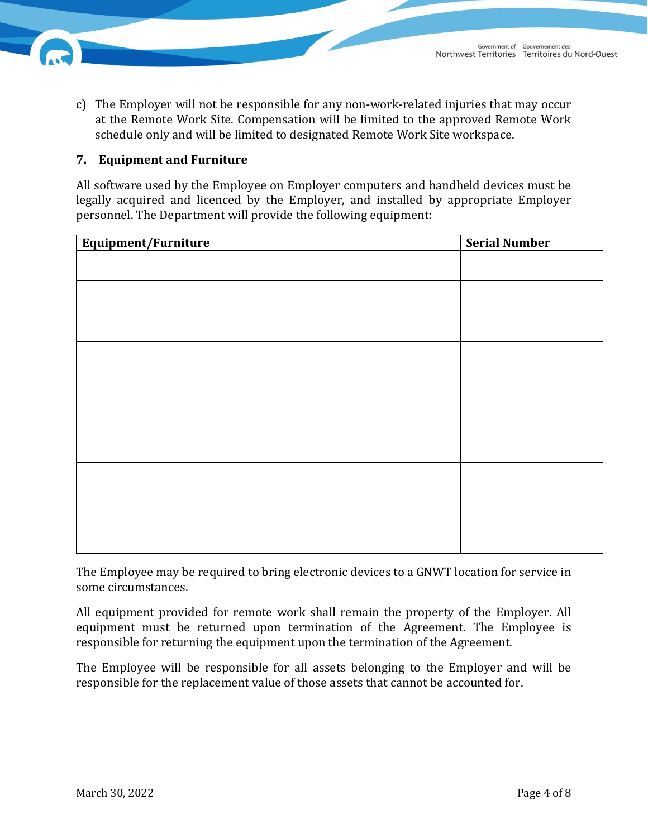

c) The Employer will not be responsible for any non-work-related injuries that may occur at the Remote Work Site. Compensation will be limited to the approved Remote Work schedule only and will be limited to designated Remote Work Site workspace.

## **7. Equipment and Furniture**

All software used by the Employee on Employer computers and handheld devices must be legally acquired and licenced by the Employer, and installed by appropriate Employer personnel. The Department will provide the following equipment:

| Equipment/Furniture | <b>Serial Number</b> |  |  |
|---------------------|----------------------|--|--|
|                     |                      |  |  |
|                     |                      |  |  |
|                     |                      |  |  |
|                     |                      |  |  |
|                     |                      |  |  |
|                     |                      |  |  |
|                     |                      |  |  |
|                     |                      |  |  |
|                     |                      |  |  |
|                     |                      |  |  |
|                     |                      |  |  |
|                     |                      |  |  |
|                     |                      |  |  |
|                     |                      |  |  |
|                     |                      |  |  |
|                     |                      |  |  |
|                     |                      |  |  |

The Employee may be required to bring electronic devices to a GNWT location for service in some circumstances.

All equipment provided for remote work shall remain the property of the Employer. All equipment must be returned upon termination of the Agreement. The Employee is responsible for returning the equipment upon the termination of the Agreement.

The Employee will be responsible for all assets belonging to the Employer and will be responsible for the replacement value of those assets that cannot be accounted for.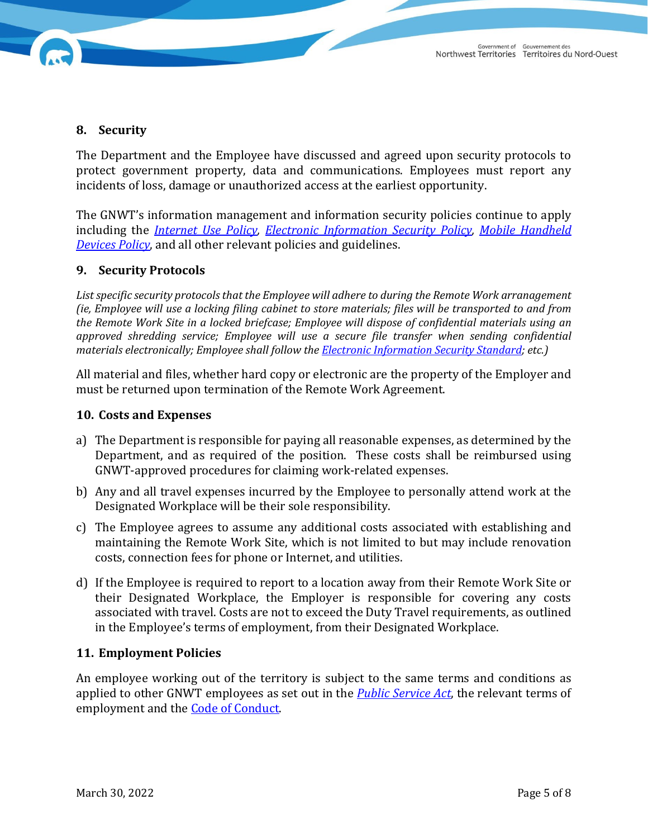

## **8. Security**

The Department and the Employee have discussed and agreed upon security protocols to protect government property, data and communications. Employees must report any incidents of loss, damage or unauthorized access at the earliest opportunity.

The GNWT's information management and information security policies continue to apply including the *[Internet Use Policy,](https://www.fin.gov.nt.ca/en/information-management-and-technology-policy-manual/governance/internet-use-policy#:%7E:text=Internet%20access%20is%20provided%20to,GNWT%20legislation%2C%20policies%20and%20standards.) [Electronic Information Security Policy,](https://www.fin.gov.nt.ca/en/information-management-and-technology-policy-manual/information-security/electronic-information#:%7E:text=The%20Government%20of%20the%20Northwest,environment%20that%20protects%20the%20confidentiality%2C) [Mobile Handheld](https://www.fin.gov.nt.ca/en/information-management-and-technology-policy-manual/mobile-handheld-devices-policy)  [Devices Policy](https://www.fin.gov.nt.ca/en/information-management-and-technology-policy-manual/mobile-handheld-devices-policy)*, and all other relevant policies and guidelines.

## **9. Security Protocols**

*List specific security protocols that the Employee will adhere to during the Remote Work arranagement (ie, Employee will use a locking filing cabinet to store materials; files will be transported to and from the Remote Work Site in a locked briefcase; Employee will dispose of confidential materials using an approved shredding service; Employee will use a secure file transfer when sending confidential materials electronically; Employee shall follow the [Electronic Information Security Standard;](https://www.fin.gov.nt.ca/sites/fin/files/6003.00.27_-_standards_-_electronic_information_security.pdf) etc.)* 

All material and files, whether hard copy or electronic are the property of the Employer and must be returned upon termination of the Remote Work Agreement.

#### **10. Costs and Expenses**

- a) The Department is responsible for paying all reasonable expenses, as determined by the Department, and as required of the position. These costs shall be reimbursed using GNWT-approved procedures for claiming work-related expenses.
- b) Any and all travel expenses incurred by the Employee to personally attend work at the Designated Workplace will be their sole responsibility.
- c) The Employee agrees to assume any additional costs associated with establishing and maintaining the Remote Work Site, which is not limited to but may include renovation costs, connection fees for phone or Internet, and utilities.
- d) If the Employee is required to report to a location away from their Remote Work Site or their Designated Workplace, the Employer is responsible for covering any costs associated with travel. Costs are not to exceed the Duty Travel requirements, as outlined in the Employee's terms of employment, from their Designated Workplace.

#### **11. Employment Policies**

An employee working out of the territory is subject to the same terms and conditions as applied to other GNWT employees as set out in the *[Public Service](https://www.justice.gov.nt.ca/en/files/legislation/public-service/public-service.a.pdf) Act*, the relevant terms of employment and the [Code of Conduct.](https://www.fin.gov.nt.ca/sites/fin/files/resources/codeofconduct.pdf)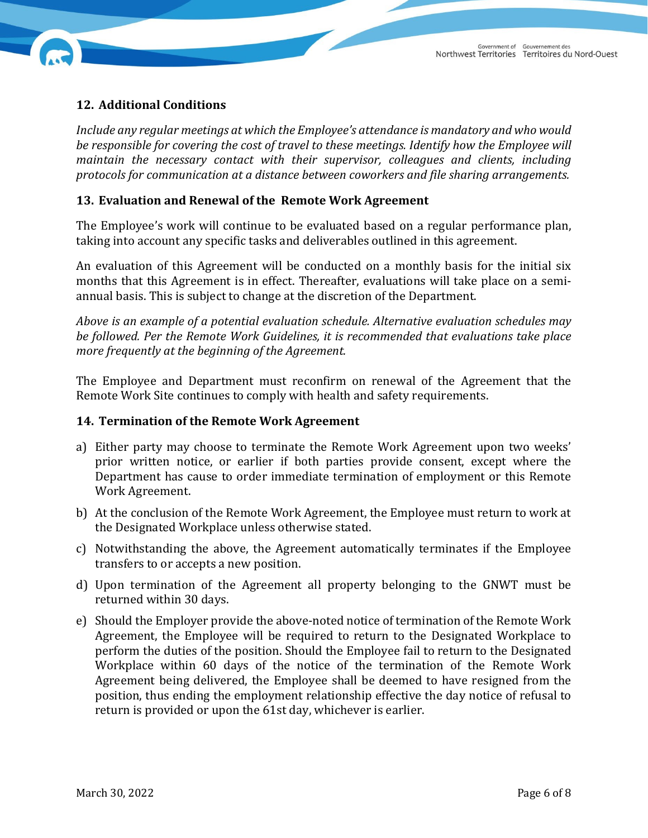

# **12. Additional Conditions**

*Include any regular meetings at which the Employee's attendance is mandatory and who would be responsible for covering the cost of travel to these meetings. Identify how the Employee will maintain the necessary contact with their supervisor, colleagues and clients, including protocols for communication at a distance between coworkers and file sharing arrangements.* 

## **13. Evaluation and Renewal of the Remote Work Agreement**

The Employee's work will continue to be evaluated based on a regular performance plan, taking into account any specific tasks and deliverables outlined in this agreement.

An evaluation of this Agreement will be conducted on a monthly basis for the initial six months that this Agreement is in effect. Thereafter, evaluations will take place on a semiannual basis. This is subject to change at the discretion of the Department.

*Above is an example of a potential evaluation schedule. Alternative evaluation schedules may be followed. Per the Remote Work Guidelines, it is recommended that evaluations take place more frequently at the beginning of the Agreement.*

The Employee and Department must reconfirm on renewal of the Agreement that the Remote Work Site continues to comply with health and safety requirements.

#### **14. Termination of the Remote Work Agreement**

- a) Either party may choose to terminate the Remote Work Agreement upon two weeks' prior written notice, or earlier if both parties provide consent, except where the Department has cause to order immediate termination of employment or this Remote Work Agreement.
- b) At the conclusion of the Remote Work Agreement, the Employee must return to work at the Designated Workplace unless otherwise stated.
- c) Notwithstanding the above, the Agreement automatically terminates if the Employee transfers to or accepts a new position.
- d) Upon termination of the Agreement all property belonging to the GNWT must be returned within 30 days.
- e) Should the Employer provide the above-noted notice of termination of the Remote Work Agreement, the Employee will be required to return to the Designated Workplace to perform the duties of the position. Should the Employee fail to return to the Designated Workplace within 60 days of the notice of the termination of the Remote Work Agreement being delivered, the Employee shall be deemed to have resigned from the position, thus ending the employment relationship effective the day notice of refusal to return is provided or upon the 61st day, whichever is earlier.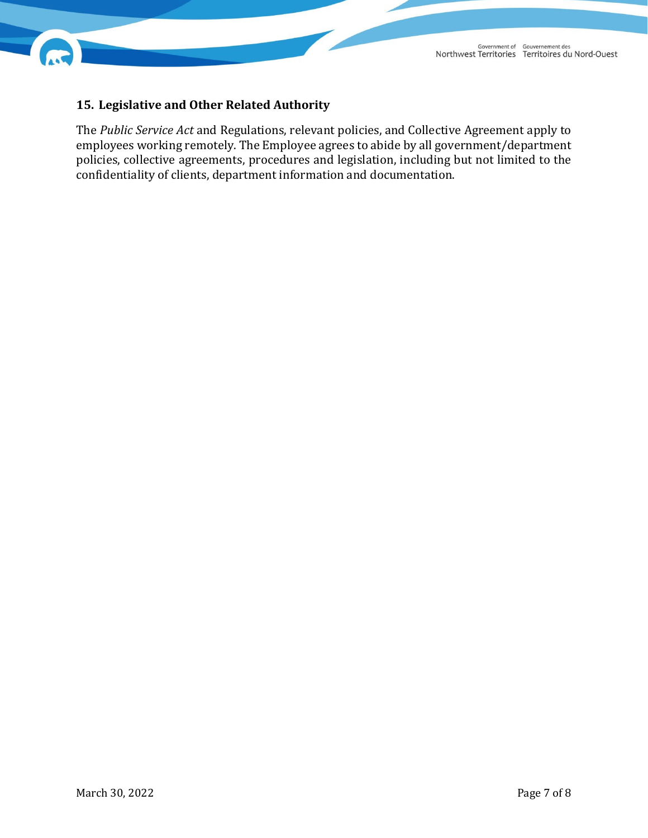



## **15. Legislative and Other Related Authority**

The *Public Service Act* and Regulations, relevant policies, and Collective Agreement apply to employees working remotely. The Employee agrees to abide by all government/department policies, collective agreements, procedures and legislation, including but not limited to the confidentiality of clients, department information and documentation.